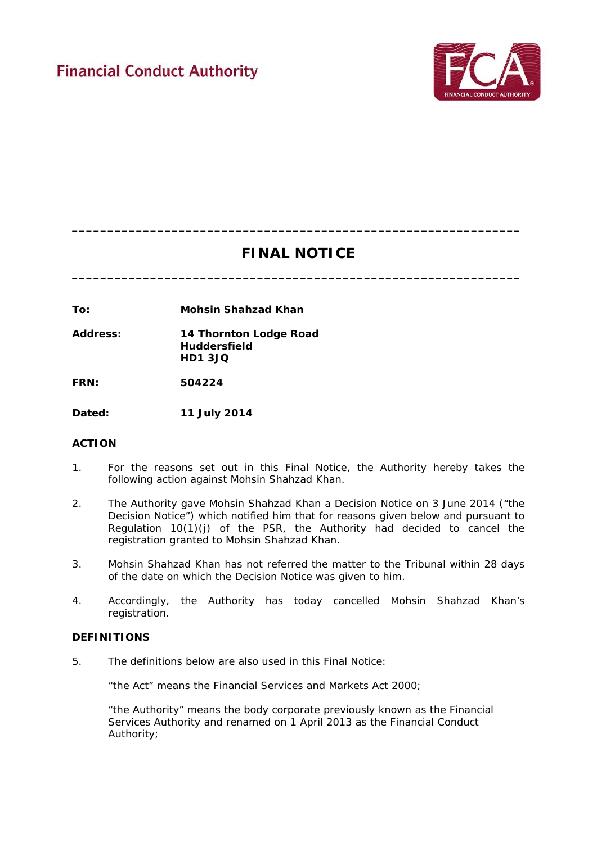

# **FINAL NOTICE**

**\_\_\_\_\_\_\_\_\_\_\_\_\_\_\_\_\_\_\_\_\_\_\_\_\_\_\_\_\_\_\_\_\_\_\_\_\_\_\_\_\_\_\_\_\_\_\_\_\_\_\_\_\_\_\_\_\_\_\_\_\_\_\_**

**\_\_\_\_\_\_\_\_\_\_\_\_\_\_\_\_\_\_\_\_\_\_\_\_\_\_\_\_\_\_\_\_\_\_\_\_\_\_\_\_\_\_\_\_\_\_\_\_\_\_\_\_\_\_\_\_\_\_\_\_\_\_\_**

**To: Mohsin Shahzad Khan**

**Address: 14 Thornton Lodge Road Huddersfield HD1 3JQ**

**FRN: 504224**

**Dated: 11 July 2014**

# **ACTION**

- 1. For the reasons set out in this Final Notice, the Authority hereby takes the following action against Mohsin Shahzad Khan.
- 2. The Authority gave Mohsin Shahzad Khan a Decision Notice on 3 June 2014 ("the Decision Notice") which notified him that for reasons given below and pursuant to Regulation  $10(1)(j)$  of the PSR, the Authority had decided to cancel the registration granted to Mohsin Shahzad Khan.
- 3. Mohsin Shahzad Khan has not referred the matter to the Tribunal within 28 days of the date on which the Decision Notice was given to him.
- 4. Accordingly, the Authority has today cancelled Mohsin Shahzad Khan's registration.

# **DEFINITIONS**

5. The definitions below are also used in this Final Notice:

"the Act" means the Financial Services and Markets Act 2000;

"the Authority" means the body corporate previously known as the Financial Services Authority and renamed on 1 April 2013 as the Financial Conduct Authority;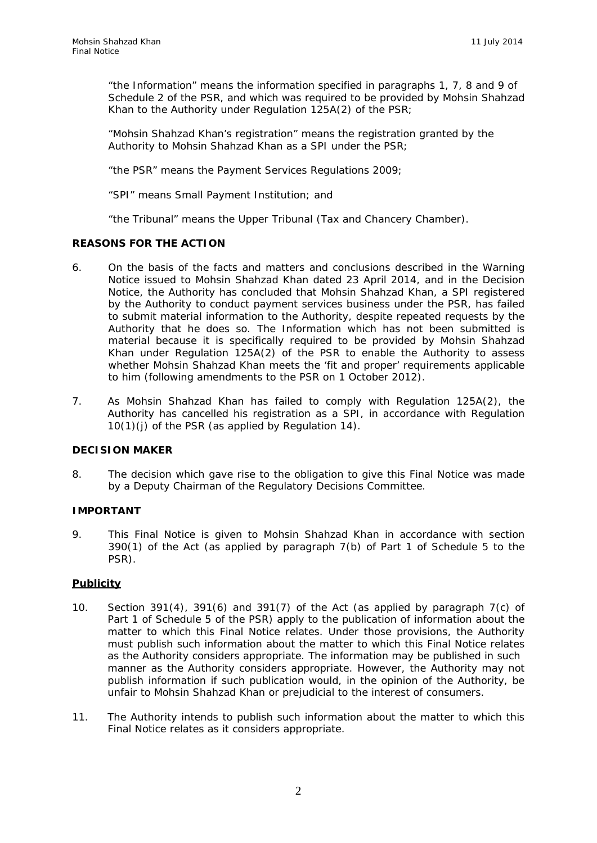"the Information" means the information specified in paragraphs 1, 7, 8 and 9 of Schedule 2 of the PSR, and which was required to be provided by Mohsin Shahzad Khan to the Authority under Regulation 125A(2) of the PSR;

"Mohsin Shahzad Khan's registration" means the registration granted by the Authority to Mohsin Shahzad Khan as a SPI under the PSR;

"the PSR" means the Payment Services Regulations 2009;

"SPI" means Small Payment Institution; and

"the Tribunal" means the Upper Tribunal (Tax and Chancery Chamber).

#### **REASONS FOR THE ACTION**

- 6. On the basis of the facts and matters and conclusions described in the Warning Notice issued to Mohsin Shahzad Khan dated 23 April 2014, and in the Decision Notice, the Authority has concluded that Mohsin Shahzad Khan, a SPI registered by the Authority to conduct payment services business under the PSR, has failed to submit material information to the Authority, despite repeated requests by the Authority that he does so. The Information which has not been submitted is material because it is specifically required to be provided by Mohsin Shahzad Khan under Regulation 125A(2) of the PSR to enable the Authority to assess whether Mohsin Shahzad Khan meets the 'fit and proper' requirements applicable to him (following amendments to the PSR on 1 October 2012).
- 7. As Mohsin Shahzad Khan has failed to comply with Regulation 125A(2), the Authority has cancelled his registration as a SPI, in accordance with Regulation 10(1)(j) of the PSR (as applied by Regulation 14).

#### **DECISION MAKER**

8. The decision which gave rise to the obligation to give this Final Notice was made by a Deputy Chairman of the Regulatory Decisions Committee.

#### **IMPORTANT**

9. This Final Notice is given to Mohsin Shahzad Khan in accordance with section 390(1) of the Act (as applied by paragraph 7(b) of Part 1 of Schedule 5 to the PSR).

# **Publicity**

- 10. Section 391(4), 391(6) and 391(7) of the Act (as applied by paragraph 7(c) of Part 1 of Schedule 5 of the PSR) apply to the publication of information about the matter to which this Final Notice relates. Under those provisions, the Authority must publish such information about the matter to which this Final Notice relates as the Authority considers appropriate. The information may be published in such manner as the Authority considers appropriate. However, the Authority may not publish information if such publication would, in the opinion of the Authority, be unfair to Mohsin Shahzad Khan or prejudicial to the interest of consumers.
- 11. The Authority intends to publish such information about the matter to which this Final Notice relates as it considers appropriate.